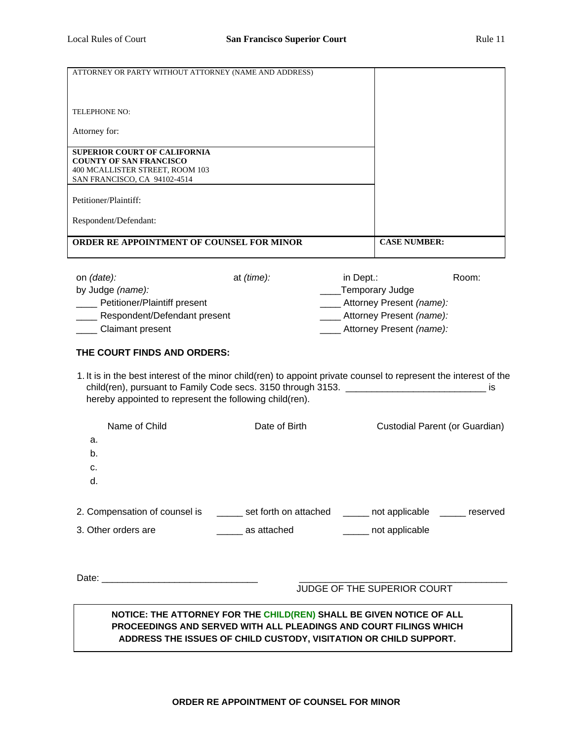| ATTORNEY OR PARTY WITHOUT ATTORNEY (NAME AND ADDRESS)                                                                                                                                                                                                            |                             |                                                                                                                                                                                                                                                                                                                                                                                |
|------------------------------------------------------------------------------------------------------------------------------------------------------------------------------------------------------------------------------------------------------------------|-----------------------------|--------------------------------------------------------------------------------------------------------------------------------------------------------------------------------------------------------------------------------------------------------------------------------------------------------------------------------------------------------------------------------|
|                                                                                                                                                                                                                                                                  |                             |                                                                                                                                                                                                                                                                                                                                                                                |
|                                                                                                                                                                                                                                                                  |                             |                                                                                                                                                                                                                                                                                                                                                                                |
| TELEPHONE NO:                                                                                                                                                                                                                                                    |                             |                                                                                                                                                                                                                                                                                                                                                                                |
| Attorney for:                                                                                                                                                                                                                                                    |                             |                                                                                                                                                                                                                                                                                                                                                                                |
| SUPERIOR COURT OF CALIFORNIA<br><b>COUNTY OF SAN FRANCISCO</b><br>400 MCALLISTER STREET, ROOM 103<br>SAN FRANCISCO, CA 94102-4514                                                                                                                                |                             |                                                                                                                                                                                                                                                                                                                                                                                |
| Petitioner/Plaintiff:                                                                                                                                                                                                                                            |                             |                                                                                                                                                                                                                                                                                                                                                                                |
| Respondent/Defendant:                                                                                                                                                                                                                                            |                             |                                                                                                                                                                                                                                                                                                                                                                                |
| ORDER RE APPOINTMENT OF COUNSEL FOR MINOR                                                                                                                                                                                                                        |                             | <b>CASE NUMBER:</b>                                                                                                                                                                                                                                                                                                                                                            |
| on (date):<br>by Judge (name):<br>___ Petitioner/Plaintiff present<br>__ Respondent/Defendant present<br>___ Claimant present<br>THE COURT FINDS AND ORDERS:<br>hereby appointed to represent the following child(ren).<br>Name of Child<br>a.<br>b.<br>c.<br>d. | at (time):<br>Date of Birth | Room:<br>in Dept.:<br>___Temporary Judge<br>Attorney Present (name):<br>Attorney Present (name):<br>Attorney Present (name):<br>1. It is in the best interest of the minor child(ren) to appoint private counsel to represent the interest of the<br>child(ren), pursuant to Family Code secs. 3150 through 3153. ____________________<br>İS<br>Custodial Parent (or Guardian) |
|                                                                                                                                                                                                                                                                  |                             | 2. Compensation of counsel is _______ set forth on attached _______ not applicable ______ reserved                                                                                                                                                                                                                                                                             |
| 3. Other orders are                                                                                                                                                                                                                                              |                             | as attached a containing the set of applicable                                                                                                                                                                                                                                                                                                                                 |
|                                                                                                                                                                                                                                                                  |                             | JUDGE OF THE SUPERIOR COURT                                                                                                                                                                                                                                                                                                                                                    |
|                                                                                                                                                                                                                                                                  |                             | NOTICE: THE ATTORNEY FOR THE CHILD(REN) SHALL BE GIVEN NOTICE OF ALL<br>PROCEEDINGS AND SERVED WITH ALL PLEADINGS AND COURT FILINGS WHICH<br>ADDRESS THE ISSUES OF CHILD CUSTODY, VISITATION OR CHILD SUPPORT.                                                                                                                                                                 |